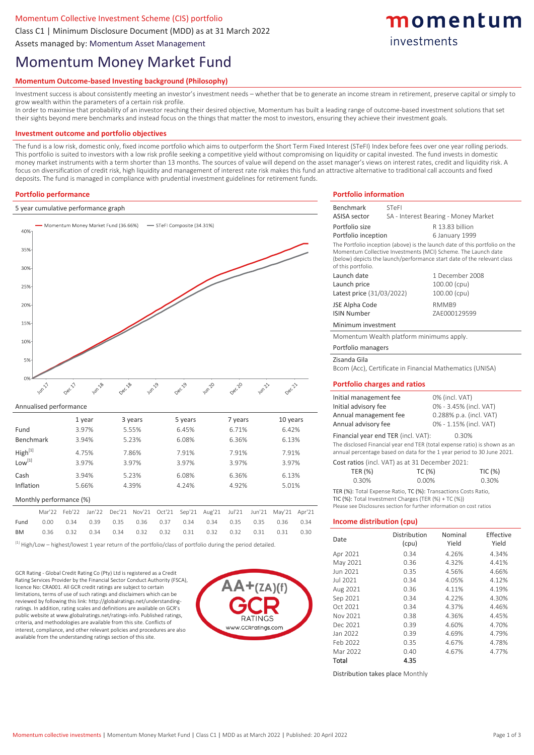# Momentum Collective Investment Scheme (CIS) portfolio

Class C1 | Minimum Disclosure Document (MDD) as at 31 March 2022

Assets managed by: Momentum Asset Management

# Momentum Money Market Fund

## **Momentum Outcome-based Investing background (Philosophy)**

Investment success is about consistently meeting an investor's investment needs – whether that be to generate an income stream in retirement, preserve capital or simply to grow wealth within the parameters of a certain risk profile.

In order to maximise that probability of an investor reaching their desired objective, Momentum has built a leading range of outcome-based investment solutions that set their sights beyond mere benchmarks and instead focus on the things that matter the most to investors, ensuring they achieve their investment goals.

#### **Investment outcome and portfolio objectives**

The fund is a low risk, domestic only, fixed income portfolio which aims to outperform the Short Term Fixed Interest (STeFI) Index before fees over one year rolling periods. This portfolio is suited to investors with a low risk profile seeking a competitive yield without compromising on liquidity or capital invested. The fund invests in domestic money market instruments with a term shorter than 13 months. The sources of value will depend on the asset manager's views on interest rates, credit and liquidity risk. A focus on diversification of credit risk, high liquidity and management of interest rate risk makes this fund an attractive alternative to traditional call accounts and fixed deposits. The fund is managed in compliance with prudential investment guidelines for retirement funds.

#### **Portfolio performance**

#### 5 year cumulative performance graph



#### Annualised performance

|                         |        |        | 1 year |        | 3 years | 5 years |        |        | 7 years |        | 10 years |        |  |
|-------------------------|--------|--------|--------|--------|---------|---------|--------|--------|---------|--------|----------|--------|--|
| Fund                    | 3.97%  |        |        |        | 5.55%   | 6.45%   |        |        | 6.71%   |        | 6.42%    |        |  |
| Benchmark               |        |        | 3.94%  |        | 5.23%   | 6.08%   |        |        | 6.36%   |        | 6.13%    |        |  |
| High <sup>[1]</sup>     | 4.75%  |        |        |        | 7.86%   | 7.91%   |        |        | 7.91%   |        | 7.91%    |        |  |
| Low <sup>[1]</sup>      |        |        | 3.97%  |        | 3.97%   |         | 3.97%  |        |         | 3.97%  |          | 3.97%  |  |
| Cash                    | 3.94%  |        | 5.23%  |        | 6.08%   |         |        | 6.36%  |         | 6.13%  |          |        |  |
| Inflation               |        | 5.66%  |        | 4.39%  |         | 4.24%   |        | 4.92%  |         | 5.01%  |          |        |  |
| Monthly performance (%) |        |        |        |        |         |         |        |        |         |        |          |        |  |
|                         | Mar'22 | Feb'22 | Jan'22 | Dec'21 | Nov'21  | Oct'21  | Sep'21 | Aug'21 | Jul'21  | Jun'21 | May'21   | Apr'21 |  |
| Fund                    | 0.00   | 0.34   | 0.39   | 0.35   | 0.36    | 0.37    | 0.34   | 0.34   | 0.35    | 0.35   | 0.36     | 0.34   |  |
| <b>BM</b>               | 0.36   | 0.32   | 0.34   | 0.34   | 0.32    | 0.32    | 0.31   | 0.32   | 0.32    | 0.31   | 0.31     | 0.30   |  |

 $^{[1]}$  High/Low – highest/lowest 1 year return of the portfolio/class of portfolio during the period detailed.

GCR Rating - Global Credit Rating Co (Pty) Ltd is registered as a Credit Rating Services Provider by the Financial Sector Conduct Authority (FSCA), licence No: CRA001. All GCR credit ratings are subject to certain limitations, terms of use of such ratings and disclaimers which can be reviewed by following this link: http://globalratings.net/understandingratings. In addition, rating scales and definitions are available on GCR's public website at www.globalratings.net/ratings-info. Published ratings, criteria, and methodologies are available from this site. Conflicts of interest, compliance, and other relevant policies and procedures are also available from the understanding ratings section of this site.



## **Portfolio information** Benchmark STeFI

| <b>ASISA sector</b>                                                      | SA - Interest Bearing - Money Market                                                                                                                                                                                    |                        |           |  |  |  |
|--------------------------------------------------------------------------|-------------------------------------------------------------------------------------------------------------------------------------------------------------------------------------------------------------------------|------------------------|-----------|--|--|--|
| Portfolio size                                                           |                                                                                                                                                                                                                         | R 13.83 billion        |           |  |  |  |
| Portfolio inception                                                      |                                                                                                                                                                                                                         | 6 January 1999         |           |  |  |  |
| of this portfolio.                                                       | The Portfolio inception (above) is the launch date of this portfolio on the<br>Momentum Collective Investments (MCI) Scheme. The Launch date<br>(below) depicts the launch/performance start date of the relevant class |                        |           |  |  |  |
| Launch date                                                              |                                                                                                                                                                                                                         | 1 December 2008        |           |  |  |  |
| Launch price                                                             |                                                                                                                                                                                                                         | 100.00 (cpu)           |           |  |  |  |
| Latest price (31/03/2022)                                                |                                                                                                                                                                                                                         | 100.00 (cpu)           |           |  |  |  |
| JSE Alpha Code<br><b>ISIN Number</b>                                     |                                                                                                                                                                                                                         | RMMB9<br>ZAE000129599  |           |  |  |  |
| Minimum investment                                                       |                                                                                                                                                                                                                         |                        |           |  |  |  |
|                                                                          | Momentum Wealth platform minimums apply.                                                                                                                                                                                |                        |           |  |  |  |
| Portfolio managers                                                       |                                                                                                                                                                                                                         |                        |           |  |  |  |
| Zisanda Gila                                                             |                                                                                                                                                                                                                         |                        |           |  |  |  |
|                                                                          | Bcom (Acc), Certificate in Financial Mathematics (UNISA)                                                                                                                                                                |                        |           |  |  |  |
|                                                                          | <b>Portfolio charges and ratios</b>                                                                                                                                                                                     |                        |           |  |  |  |
| Initial management fee                                                   |                                                                                                                                                                                                                         | 0% (incl. VAT)         |           |  |  |  |
| Initial advisory fee                                                     |                                                                                                                                                                                                                         | 0% - 3.45% (incl. VAT) |           |  |  |  |
| Annual management fee                                                    |                                                                                                                                                                                                                         |                        |           |  |  |  |
| 0.288% p.a. (incl. VAT)<br>Annual advisory fee<br>0% - 1.15% (incl. VAT) |                                                                                                                                                                                                                         |                        |           |  |  |  |
|                                                                          | Financial year end TER (incl. VAT):                                                                                                                                                                                     | 0.30%                  |           |  |  |  |
|                                                                          | The disclosed Financial year end TER (total expense ratio) is shown as an                                                                                                                                               |                        |           |  |  |  |
|                                                                          | annual percentage based on data for the 1 year period to 30 June 2021.                                                                                                                                                  |                        |           |  |  |  |
|                                                                          | Cost ratios (incl. VAT) as at 31 December 2021:                                                                                                                                                                         |                        |           |  |  |  |
| <b>TER (%)</b>                                                           | TC (%)                                                                                                                                                                                                                  |                        | TIC (%)   |  |  |  |
| 0.30%                                                                    | 0.00%                                                                                                                                                                                                                   |                        | 0.30%     |  |  |  |
| Income distribution (cpu)                                                | TER (%): Total Expense Ratio, TC (%): Transactions Costs Ratio,<br>TIC (%): Total Investment Charges (TER (%) + TC (%))<br>Please see Disclosures section for further information on cost ratios                        |                        |           |  |  |  |
|                                                                          | Distribution                                                                                                                                                                                                            | Nominal                | Effective |  |  |  |
| Date                                                                     | (cpu)                                                                                                                                                                                                                   | Yield                  | Yield     |  |  |  |
| Apr 2021                                                                 | 0.34                                                                                                                                                                                                                    | 4.26%                  | 4.34%     |  |  |  |
| May 2021                                                                 | 0.36                                                                                                                                                                                                                    | 4.32%                  | 4.41%     |  |  |  |
| Jun 2021                                                                 | 0.35                                                                                                                                                                                                                    | 4.56%                  | 4.66%     |  |  |  |
| Jul 2021                                                                 | 0.34                                                                                                                                                                                                                    | 4.05%                  | 4.12%     |  |  |  |
| Aug 2021                                                                 | 0.36                                                                                                                                                                                                                    | 4.11%                  | 4.19%     |  |  |  |
| Sep 2021                                                                 | 0.34                                                                                                                                                                                                                    | 4.22%                  | 4.30%     |  |  |  |
| Oct 2021                                                                 | 0.34                                                                                                                                                                                                                    | 4.37%                  | 4.46%     |  |  |  |
| Nov 2021                                                                 | 0.38                                                                                                                                                                                                                    | 4.36%                  | 4.45%     |  |  |  |
| Dec 2021                                                                 | 0.39                                                                                                                                                                                                                    | 4.60%                  | 4.70%     |  |  |  |
| Jan 2022                                                                 | 0.39                                                                                                                                                                                                                    | 4.69%                  | 4.79%     |  |  |  |
| Feb 2022                                                                 | 0.35                                                                                                                                                                                                                    | 4.67%                  | 4.78%     |  |  |  |
| Mar 2022                                                                 | 0.40                                                                                                                                                                                                                    | 4.67%                  | 4.77%     |  |  |  |
| Total                                                                    | 435                                                                                                                                                                                                                     |                        |           |  |  |  |

momentum

investments

Distribution takes place Monthly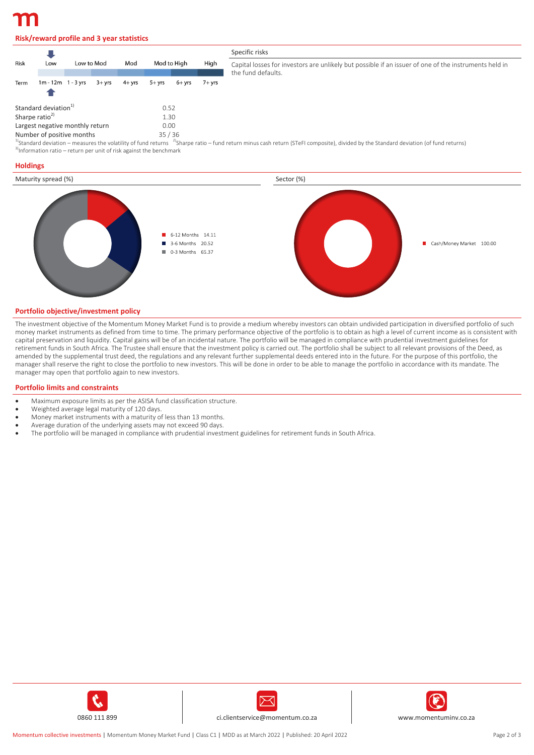# **Risk/reward profile and 3 year statistics**

|                                         |                        |            |           |           |           |             |        | Specific risks                                                                                                                                                                                             |  |  |  |
|-----------------------------------------|------------------------|------------|-----------|-----------|-----------|-------------|--------|------------------------------------------------------------------------------------------------------------------------------------------------------------------------------------------------------------|--|--|--|
| Risk                                    | Low                    | Low to Mod |           | Mod       |           | Mod to High |        | Capital losses for investors are unlikely but possible if an issuer of one of the instruments held in<br>the fund defaults.                                                                                |  |  |  |
| Term                                    | $1m - 12m - 1 - 3$ yrs |            | $3 + vrs$ | $4 + yrs$ | $5 + yrs$ | 6+ vrs      | 7+ vrs |                                                                                                                                                                                                            |  |  |  |
| Standard deviation <sup>1</sup>         |                        |            | 0.52      |           |           |             |        |                                                                                                                                                                                                            |  |  |  |
| Sharpe ratio <sup>2)</sup><br>1.30      |                        |            |           |           |           |             |        |                                                                                                                                                                                                            |  |  |  |
| Largest negative monthly return<br>0.00 |                        |            |           |           |           |             |        |                                                                                                                                                                                                            |  |  |  |
| Number of positive months<br>35/36      |                        |            |           |           |           |             |        |                                                                                                                                                                                                            |  |  |  |
|                                         |                        |            |           |           |           |             |        | <sup>1</sup> Standard deviation – measures the volatility of fund returns <sup>2</sup> Sharpe ratio – fund return minus cash return (STeFI composite), divided by the Standard deviation (of fund returns) |  |  |  |

 $3$ Information ratio – return per unit of risk against the benchmark

#### **Holdings**



#### **Portfolio objective/investment policy**

The investment objective of the Momentum Money Market Fund is to provide a medium whereby investors can obtain undivided participation in diversified portfolio of such money market instruments as defined from time to time. The primary performance objective of the portfolio is to obtain as high a level of current income as is consistent with capital preservation and liquidity. Capital gains will be of an incidental nature. The portfolio will be managed in compliance with prudential investment guidelines for retirement funds in South Africa. The Trustee shall ensure that the investment policy is carried out. The portfolio shall be subject to all relevant provisions of the Deed, as amended by the supplemental trust deed, the regulations and any relevant further supplemental deeds entered into in the future. For the purpose of this portfolio, the manager shall reserve the right to close the portfolio to new investors. This will be done in order to be able to manage the portfolio in accordance with its mandate. The manager may open that portfolio again to new investors.

#### **Portfolio limits and constraints**

- Maximum exposure limits as per the ASISA fund classification structure.
- Weighted average legal maturity of 120 days.
- Money market instruments with a maturity of less than 13 months.
- Average duration of the underlying assets may not exceed 90 days.
- The portfolio will be managed in compliance with prudential investment guidelines for retirement funds in South Africa.